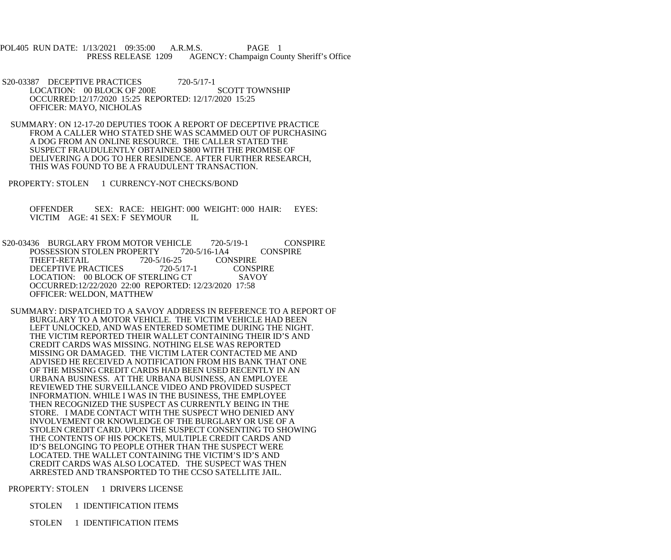POL405 RUN DATE: 1/13/2021 09:35:00 A.R.M.S. PAGE 1<br>PRESS RELEASE 1209 AGENCY: Champaign Cou AGENCY: Champaign County Sheriff's Office

S20-03387 DECEPTIVE PRACTICES 720-5/17-1 LOCATION: 00 BLOCK OF 200E SCOTT TOWNSHIP OCCURRED:12/17/2020 15:25 REPORTED: 12/17/2020 15:25 OFFICER: MAYO, NICHOLAS

 SUMMARY: ON 12-17-20 DEPUTIES TOOK A REPORT OF DECEPTIVE PRACTICE FROM A CALLER WHO STATED SHE WAS SCAMMED OUT OF PURCHASING A DOG FROM AN ONLINE RESOURCE. THE CALLER STATED THE SUSPECT FRAUDULENTLY OBTAINED \$800 WITH THE PROMISE OF DELIVERING A DOG TO HER RESIDENCE. AFTER FURTHER RESEARCH, THIS WAS FOUND TO BE A FRAUDULENT TRANSACTION.

PROPERTY: STOLEN 1 CURRENCY-NOT CHECKS/BOND

 OFFENDER SEX: RACE: HEIGHT: 000 WEIGHT: 000 HAIR: EYES: VICTIM AGE: 41 SEX: F SEYMOUR IL

S20-03436 BURGLARY FROM MOTOR VEHICLE 720-5/19-1 CONSPIRE<br>POSSESSION STOLEN PROPERTY 720-5/16-1A4 CONSPIRE POSSESSION STOLEN PROPERTY 720-5/16-1A4<br>THEFT-RETAIL 720-5/16-25 CONSPIRE THEFT-RETAIL 720-5/16-25 CONSPIRE<br>DECEPTIVE PRACTICES 720-5/17-1 CONSPIRE DECEPTIVE PRACTICES 720-5/17-1 CONSPIR<br>LOCATION: 00 BLOCK OF STERLING CT SAVOY LOCATION: 00 BLOCK OF STERLING CT OCCURRED:12/22/2020 22:00 REPORTED: 12/23/2020 17:58 OFFICER: WELDON, MATTHEW

 SUMMARY: DISPATCHED TO A SAVOY ADDRESS IN REFERENCE TO A REPORT OF BURGLARY TO A MOTOR VEHICLE. THE VICTIM VEHICLE HAD BEEN LEFT UNLOCKED, AND WAS ENTERED SOMETIME DURING THE NIGHT. THE VICTIM REPORTED THEIR WALLET CONTAINING THEIR ID'S AND CREDIT CARDS WAS MISSING. NOTHING ELSE WAS REPORTED MISSING OR DAMAGED. THE VICTIM LATER CONTACTED ME AND ADVISED HE RECEIVED A NOTIFICATION FROM HIS BANK THAT ONE OF THE MISSING CREDIT CARDS HAD BEEN USED RECENTLY IN AN URBANA BUSINESS. AT THE URBANA BUSINESS, AN EMPLOYEE REVIEWED THE SURVEILLANCE VIDEO AND PROVIDED SUSPECT INFORMATION. WHILE I WAS IN THE BUSINESS, THE EMPLOYEE THEN RECOGNIZED THE SUSPECT AS CURRENTLY BEING IN THE STORE. I MADE CONTACT WITH THE SUSPECT WHO DENIED ANY INVOLVEMENT OR KNOWLEDGE OF THE BURGLARY OR USE OF A STOLEN CREDIT CARD. UPON THE SUSPECT CONSENTING TO SHOWING THE CONTENTS OF HIS POCKETS, MULTIPLE CREDIT CARDS AND ID'S BELONGING TO PEOPLE OTHER THAN THE SUSPECT WERE LOCATED. THE WALLET CONTAINING THE VICTIM'S ID'S AND CREDIT CARDS WAS ALSO LOCATED. THE SUSPECT WAS THEN ARRESTED AND TRANSPORTED TO THE CCSO SATELLITE JAIL.

PROPERTY: STOLEN 1 DRIVERS LICENSE

STOLEN 1 IDENTIFICATION ITEMS

STOLEN 1 IDENTIFICATION ITEMS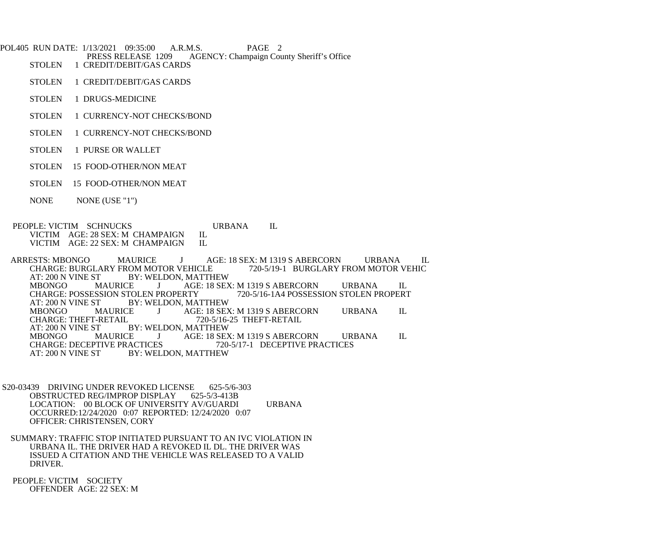POL405 RUN DATE: 1/13/2021 09:35:00 A.R.M.S. PAGE 2<br>PRESS RELEASE 1209 AGENCY: Champaign Cou PRESS RELEASE 1209 AGENCY: Champaign County Sheriff's Office<br>STOLEN 1 CREDIT/DEBIT/GAS CARDS 1 CREDIT/DEBIT/GAS CARDS

- 
- STOLEN 1 CREDIT/DEBIT/GAS CARDS
- STOLEN 1 DRUGS-MEDICINE
- STOLEN 1 CURRENCY-NOT CHECKS/BOND
- STOLEN 1 CURRENCY-NOT CHECKS/BOND
- STOLEN 1 PURSE OR WALLET
- STOLEN 15 FOOD-OTHER/NON MEAT
- STOLEN 15 FOOD-OTHER/NON MEAT
- NONE NONE (USE "1")
- PEOPLE: VICTIM SCHNUCKS URBANA IL VICTIM AGE: 28 SEX: M CHAMPAIGN IL VICTIM AGE: 28 SEX: M CHAMPAIGN IL<br>VICTIM AGE: 22 SEX: M CHAMPAIGN IL VICTIM AGE: 22 SEX: M CHAMPAIGN
- ARRESTS: MBONGO MAURICE J AGE: 18 SEX: M 1319 S ABERCORN URBANA IL CHARGE: BURGLARY FROM MOTOR VEHIC CHARGE: BURGLARY FROM MOTOR VEHICLE<br>AT: 200 N VINE ST BY: WELDON. MATTH FT BY: WELDON, MATTHEW<br>MAURICE JAGE: 18 SE MBONGO MAURICE J AGE: 18 SEX: M 1319 S ABERCORN URBANA IL CHARGE: POSSESSION STOLEN PROPERTY 720-5/16-1A4 POSSESSION STOLEN PROPERTY CHARGE: POSSESSION STOLEN PROPERTY 720-5/16-1A4 POSSESSION STOLEN PROPERT AT: 200 N VINE ST BY: WELDON, MATTHEW AT: 200 N VINE ST BY: WELDON, MATTHEW<br>MBONGO MAURICE J AGE: 18 SEX MBONGO MAURICE J AGE: 18 SEX: M 1319 S ABERCORN URBANA IL<br>CHARGE: THEFT-RETAIL 720-5/16-25 THEFT-RETAIL CHARGE: THEFT-RETAIL 720-5/16-25 THEFT-RETAIL<br>AT: 200 N VINE ST BY: WELDON. MATTHEW ST BY: WELDON, MATTHEW<br>MAURICE J AGE: 18 SEX MBONGO MAURICE J AGE: 18 SEX: M 1319 S ABERCORN URBANA IL<br>CHARGE: DECEPTIVE PRACTICES 720-5/17-1 DECEPTIVE PRACTICES CHARGE: DECEPTIVE PRACTICES<br>AT: 200 N VINE ST BY: WEL BY: WELDON, MATTHEW
- S20-03439 DRIVING UNDER REVOKED LICENSE 625-5/6-303<br>OBSTRUCTED REG/IMPROP DISPLAY 625-5/3-413B OBSTRUCTED REG/IMPROP DISPLAY LOCATION: 00 BLOCK OF UNIVERSITY AV/GUARDI URBANA OCCURRED:12/24/2020 0:07 REPORTED: 12/24/2020 0:07 OFFICER: CHRISTENSEN, CORY
- SUMMARY: TRAFFIC STOP INITIATED PURSUANT TO AN IVC VIOLATION IN URBANA IL. THE DRIVER HAD A REVOKED IL DL. THE DRIVER WAS ISSUED A CITATION AND THE VEHICLE WAS RELEASED TO A VALID DRIVER.
- PEOPLE: VICTIM SOCIETY OFFENDER AGE: 22 SEX: M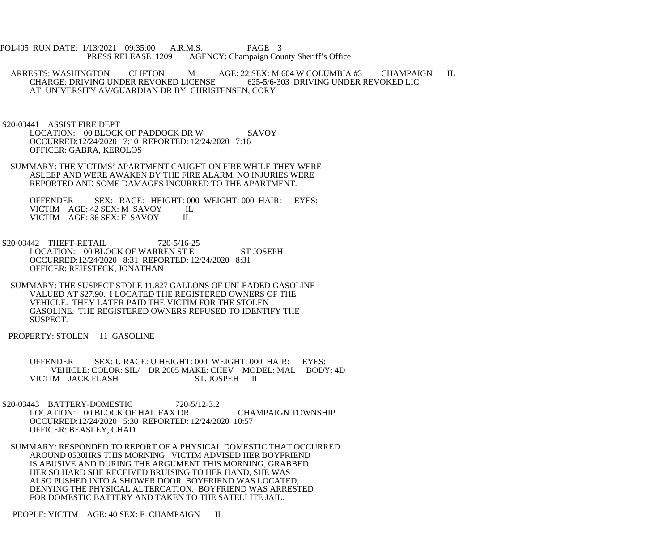POL405 RUN DATE: 1/13/2021 09:35:00 A.R.M.S. PAGE 3<br>PRESS RELEASE 1209 AGENCY: Champaign Cou AGENCY: Champaign County Sheriff's Office

ARRESTS: WASHINGTON CLIFTON M AGE: 22 SEX: M 604 W COLUMBIA #3 CHAMPAIGN IL CHARGE: DRIVING UNDER REVOKED LICENSE 625-5/6-303 DRIVING UNDER REVOKED LIC CHARGE: DRIVING UNDER REVOKED LICENSE AT: UNIVERSITY AV/GUARDIAN DR BY: CHRISTENSEN, CORY

 S20-03441 ASSIST FIRE DEPT LOCATION: 00 BLOCK OF PADDOCK DR W SAVOY OCCURRED:12/24/2020 7:10 REPORTED: 12/24/2020 7:16 OFFICER: GABRA, KEROLOS

 SUMMARY: THE VICTIMS' APARTMENT CAUGHT ON FIRE WHILE THEY WERE ASLEEP AND WERE AWAKEN BY THE FIRE ALARM. NO INJURIES WERE REPORTED AND SOME DAMAGES INCURRED TO THE APARTMENT.

OFFENDER SEX: RACE: HEIGHT: 000 WEIGHT: 000 HAIR: EYES: VICTIM AGE: 42 SEX: M SAVOY IL VICTIM AGE: 42 SEX: M SAVOY IL<br>VICTIM AGE: 36 SEX: F SAVOY IL VICTIM AGE: 36 SEX: F SAVOY

S20-03442 THEFT-RETAIL 720-5/16-25 LOCATION: 00 BLOCK OF WARREN ST E ST JOSEPH OCCURRED:12/24/2020 8:31 REPORTED: 12/24/2020 8:31 OFFICER: REIFSTECK, JONATHAN

 SUMMARY: THE SUSPECT STOLE 11.827 GALLONS OF UNLEADED GASOLINE VALUED AT \$27.90. I LOCATED THE REGISTERED OWNERS OF THE VEHICLE. THEY LATER PAID THE VICTIM FOR THE STOLEN GASOLINE. THE REGISTERED OWNERS REFUSED TO IDENTIFY THE SUSPECT.

PROPERTY: STOLEN 11 GASOLINE

 OFFENDER SEX: U RACE: U HEIGHT: 000 WEIGHT: 000 HAIR: EYES: VEHICLE: COLOR: SIL/ DR 2005 MAKE: CHEV MODEL: MAL BODY: 4D VICTIM JACK FLASH ST. JOSPEH IL

 S20-03443 BATTERY-DOMESTIC 720-5/12-3.2 LOCATION: 00 BLOCK OF HALIFAX DR CHAMPAIGN TOWNSHIP OCCURRED:12/24/2020 5:30 REPORTED: 12/24/2020 10:57 OFFICER: BEASLEY, CHAD

 SUMMARY: RESPONDED TO REPORT OF A PHYSICAL DOMESTIC THAT OCCURRED AROUND 0530HRS THIS MORNING. VICTIM ADVISED HER BOYFRIEND IS ABUSIVE AND DURING THE ARGUMENT THIS MORNING, GRABBED HER SO HARD SHE RECEIVED BRUISING TO HER HAND, SHE WAS ALSO PUSHED INTO A SHOWER DOOR. BOYFRIEND WAS LOCATED, DENYING THE PHYSICAL ALTERCATION. BOYFRIEND WAS ARRESTED FOR DOMESTIC BATTERY AND TAKEN TO THE SATELLITE JAIL.

PEOPLE: VICTIM AGE: 40 SEX: F CHAMPAIGN IL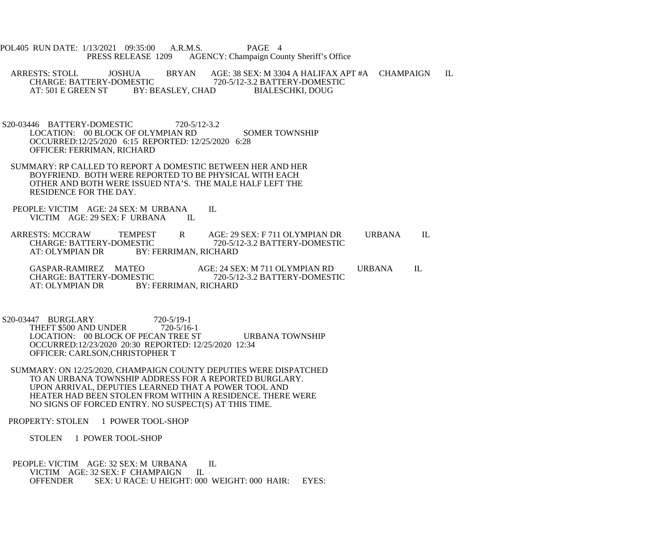POL405 RUN DATE: 1/13/2021 09:35:00 A.R.M.S. PAGE 4<br>PRESS RELEASE 1209 AGENCY: Champaign Cou AGENCY: Champaign County Sheriff's Office

 ARRESTS: STOLL JOSHUA BRYAN AGE: 38 SEX: M 3304 A HALIFAX APT #A CHAMPAIGN IL CHARGE: BATTERY-DOMESTIC 720-5/12-3.2 BATTERY-DOMESTIC<br>AT: 501 E GREEN ST BY: BEASLEY, CHAD BIALESCHKI, DOUG BY: BEASLEY, CHAD

- S20-03446 BATTERY-DOMESTIC 720-5/12-3.2 LOCATION: 00 BLOCK OF OLYMPIAN RD SOMER TOWNSHIP OCCURRED:12/25/2020 6:15 REPORTED: 12/25/2020 6:28 OFFICER: FERRIMAN, RICHARD
- SUMMARY: RP CALLED TO REPORT A DOMESTIC BETWEEN HER AND HER BOYFRIEND. BOTH WERE REPORTED TO BE PHYSICAL WITH EACH OTHER AND BOTH WERE ISSUED NTA'S. THE MALE HALF LEFT THE RESIDENCE FOR THE DAY.
- PEOPLE: VICTIM AGE: 24 SEX: M URBANA IL<br>VICTIM AGE: 29 SEX: F URBANA IL VICTIM AGE: 29 SEX: F URBANA
- ARRESTS: MCCRAW TEMPEST R AGE: 29 SEX: F 711 OLYMPIAN DR URBANA IL CHARGE: BATTERY-DOMESTIC 720-5/12-3.2 BATTERY-DOMESTIC CHARGE: BATTERY-DOMESTIC 720-5/12-3.2 BATTERY-DOMESTIC AT: OLYMPIAN DR BY: FERRIMAN, RICHARD

GASPAR-RAMIREZ MATEO <br>CHARGE: BATTERY-DOMESTIC 720-5/12-3.2 BATTERY-DOMESTIC CHARGE: BATTERY-DOMESTIC 720-5/12-3.2 BATTERY-DOMESTIC AT: OLYMPIAN DR BY: FERRIMAN, RICHARD

S20-03447 BURGLARY 720-5/19-1<br>THEFT \$500 AND UNDER 720-5/16-1 THEFT \$500 AND UNDER LOCATION: 00 BLOCK OF PECAN TREE ST URBANA TOWNSHIP OCCURRED:12/23/2020 20:30 REPORTED: 12/25/2020 12:34 OFFICER: CARLSON,CHRISTOPHER T

 SUMMARY: ON 12/25/2020, CHAMPAIGN COUNTY DEPUTIES WERE DISPATCHED TO AN URBANA TOWNSHIP ADDRESS FOR A REPORTED BURGLARY. UPON ARRIVAL, DEPUTIES LEARNED THAT A POWER TOOL AND HEATER HAD BEEN STOLEN FROM WITHIN A RESIDENCE. THERE WERE NO SIGNS OF FORCED ENTRY. NO SUSPECT(S) AT THIS TIME.

PROPERTY: STOLEN 1 POWER TOOL-SHOP

STOLEN 1 POWER TOOL-SHOP

PEOPLE: VICTIM AGE: 32 SEX: M URBANA IL VICTIM AGE: 32 SEX: F CHAMPAIGN IL<br>OFFENDER SEX: U RACE: U HEIGHT: 000 SEX: U RACE: U HEIGHT: 000 WEIGHT: 000 HAIR: EYES: